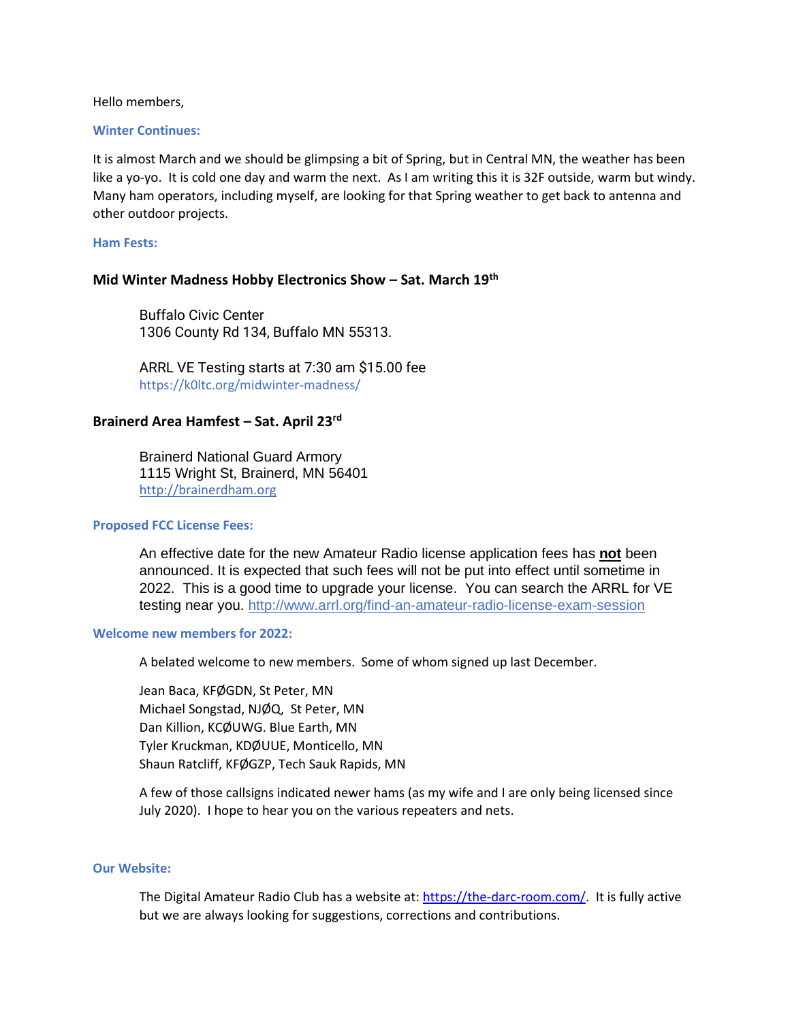Hello members,

## **Winter Continues:**

It is almost March and we should be glimpsing a bit of Spring, but in Central MN, the weather has been like a yo-yo. It is cold one day and warm the next. As I am writing this it is 32F outside, warm but windy. Many ham operators, including myself, are looking for that Spring weather to get back to antenna and other outdoor projects.

### **Ham Fests:**

## **Mid Winter Madness Hobby Electronics Show – Sat. March 19th**

Buffalo Civic Center 1306 County Rd 134, Buffalo MN 55313.

ARRL VE Testing starts at 7:30 am \$15.00 fee https://k0ltc.org/midwinter-madness/

## **Brainerd Area Hamfest – Sat. April 23rd**

Brainerd National Guard Armory 1115 Wright St, Brainerd, MN 56401 [http://brainerdham.org](http://brainerdham.org/)

## **Proposed FCC License Fees:**

An effective date for the new Amateur Radio license application fees has **not** been announced. It is expected that such fees will not be put into effect until sometime in 2022. This is a good time to upgrade your license. You can search the ARRL for VE testing near you. <http://www.arrl.org/find-an-amateur-radio-license-exam-session>

### **Welcome new members for 2022:**

A belated welcome to new members. Some of whom signed up last December.

Jean Baca, KFØGDN, St Peter, MN Michael Songstad, NJØQ, St Peter, MN Dan Killion, KCØUWG. Blue Earth, MN Tyler Kruckman, KDØUUE, Monticello, MN Shaun Ratcliff, KFØGZP, Tech Sauk Rapids, MN

A few of those callsigns indicated newer hams (as my wife and I are only being licensed since July 2020). I hope to hear you on the various repeaters and nets.

### **Our Website:**

The Digital Amateur Radio Club has a website at[: https://the-darc-room.com/.](https://the-darc-room.com/) It is fully active but we are always looking for suggestions, corrections and contributions.